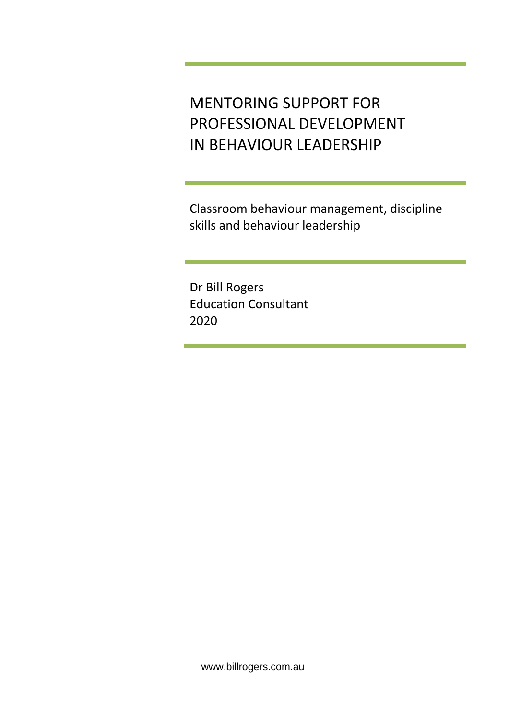MENTORING SUPPORT FOR PROFESSIONAL DEVELOPMENT IN BEHAVIOUR LEADERSHIP

Classroom behaviour management, discipline skills and behaviour leadership

Dr Bill Rogers Education Consultant 2020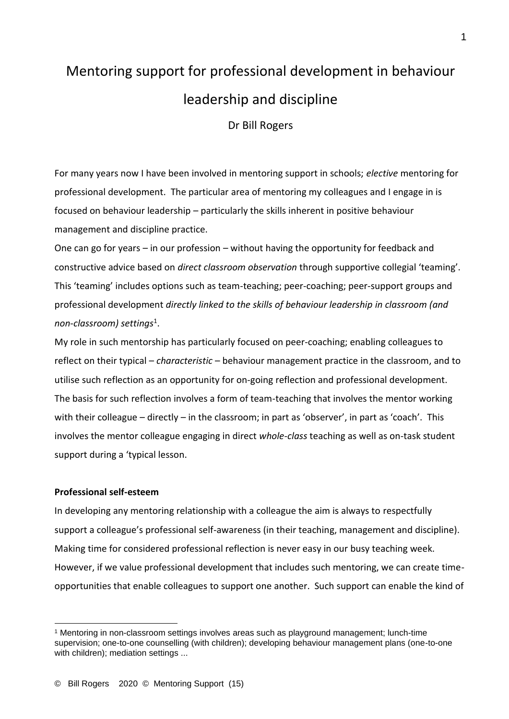# Mentoring support for professional development in behaviour leadership and discipline

Dr Bill Rogers

For many years now I have been involved in mentoring support in schools; *elective* mentoring for professional development. The particular area of mentoring my colleagues and I engage in is focused on behaviour leadership – particularly the skills inherent in positive behaviour management and discipline practice.

One can go for years – in our profession – without having the opportunity for feedback and constructive advice based on *direct classroom observation* through supportive collegial 'teaming'. This 'teaming' includes options such as team-teaching; peer-coaching; peer-support groups and professional development *directly linked to the skills of behaviour leadership in classroom (and non-classroom) settings*<sup>1</sup> .

My role in such mentorship has particularly focused on peer-coaching; enabling colleagues to reflect on their typical – *characteristic* – behaviour management practice in the classroom, and to utilise such reflection as an opportunity for on-going reflection and professional development. The basis for such reflection involves a form of team-teaching that involves the mentor working with their colleague – directly – in the classroom; in part as 'observer', in part as 'coach'. This involves the mentor colleague engaging in direct *whole-class* teaching as well as on-task student support during a 'typical lesson.

### **Professional self-esteem**

In developing any mentoring relationship with a colleague the aim is always to respectfully support a colleague's professional self-awareness (in their teaching, management and discipline). Making time for considered professional reflection is never easy in our busy teaching week. However, if we value professional development that includes such mentoring, we can create timeopportunities that enable colleagues to support one another. Such support can enable the kind of

<sup>1</sup> Mentoring in non-classroom settings involves areas such as playground management; lunch-time supervision; one-to-one counselling (with children); developing behaviour management plans (one-to-one with children); mediation settings ...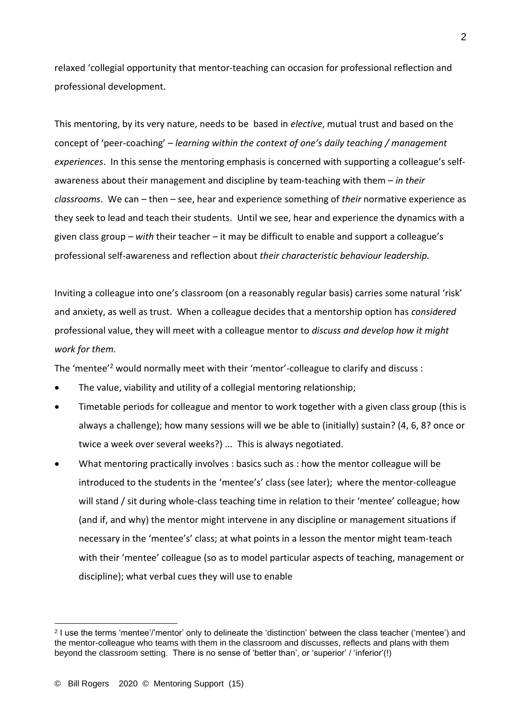relaxed 'collegial opportunity that mentor-teaching can occasion for professional reflection and professional development.

This mentoring, by its very nature, needs to be based in *elective*, mutual trust and based on the concept of 'peer-coaching' – *learning within the context of one's daily teaching / management experiences*. In this sense the mentoring emphasis is concerned with supporting a colleague's selfawareness about their management and discipline by team-teaching with them – *in their classrooms*. We can – then – see, hear and experience something of *their* normative experience as they seek to lead and teach their students. Until we see, hear and experience the dynamics with a given class group – *with* their teacher – it may be difficult to enable and support a colleague's professional self-awareness and reflection about *their characteristic behaviour leadership.*

Inviting a colleague into one's classroom (on a reasonably regular basis) carries some natural 'risk' and anxiety, as well as trust. When a colleague decides that a mentorship option has *considered* professional value, they will meet with a colleague mentor to *discuss and develop how it might work for them.*

The 'mentee'<sup>2</sup> would normally meet with their 'mentor'-colleague to clarify and discuss :

- The value, viability and utility of a collegial mentoring relationship;
- Timetable periods for colleague and mentor to work together with a given class group (this is always a challenge); how many sessions will we be able to (initially) sustain? (4, 6, 8? once or twice a week over several weeks?) ... This is always negotiated.
- What mentoring practically involves : basics such as : how the mentor colleague will be introduced to the students in the 'mentee's' class (see later); where the mentor-colleague will stand / sit during whole-class teaching time in relation to their 'mentee' colleague; how (and if, and why) the mentor might intervene in any discipline or management situations if necessary in the 'mentee's' class; at what points in a lesson the mentor might team-teach with their 'mentee' colleague (so as to model particular aspects of teaching, management or discipline); what verbal cues they will use to enable

<sup>2</sup> I use the terms 'mentee'/'mentor' only to delineate the 'distinction' between the class teacher ('mentee') and the mentor-colleague who teams with them in the classroom and discusses, reflects and plans with them beyond the classroom setting. There is no sense of 'better than', or 'superior' / 'inferior'(!)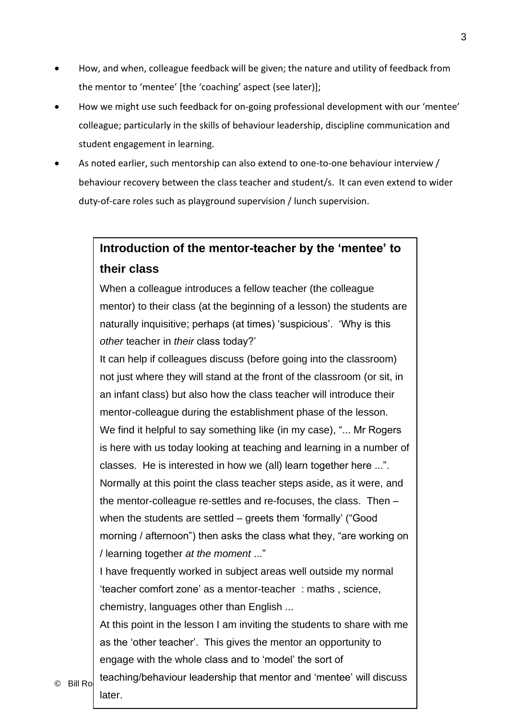- How, and when, colleague feedback will be given; the nature and utility of feedback from the mentor to 'mentee' [the 'coaching' aspect (see later)];
- How we might use such feedback for on-going professional development with our 'mentee' colleague; particularly in the skills of behaviour leadership, discipline communication and student engagement in learning.
- As noted earlier, such mentorship can also extend to one-to-one behaviour interview / behaviour recovery between the class teacher and student/s. It can even extend to wider duty-of-care roles such as playground supervision / lunch supervision.

# **Introduction of the mentor-teacher by the 'mentee' to their class**

When a colleague introduces a fellow teacher (the colleague mentor) to their class (at the beginning of a lesson) the students are naturally inquisitive; perhaps (at times) 'suspicious'. 'Why is this *other* teacher in *their* class today?'

It can help if colleagues discuss (before going into the classroom) not just where they will stand at the front of the classroom (or sit, in an infant class) but also how the class teacher will introduce their mentor-colleague during the establishment phase of the lesson. We find it helpful to say something like (in my case), "... Mr Rogers is here with us today looking at teaching and learning in a number of classes. He is interested in how we (all) learn together here ...". Normally at this point the class teacher steps aside, as it were, and the mentor-colleague re-settles and re-focuses, the class. Then – when the students are settled – greets them 'formally' ("Good morning / afternoon") then asks the class what they, "are working on / learning together *at the moment* ..."

I have frequently worked in subject areas well outside my normal 'teacher comfort zone' as a mentor-teacher : maths , science, chemistry, languages other than English ...

At this point in the lesson I am inviting the students to share with me as the 'other teacher'. This gives the mentor an opportunity to engage with the whole class and to 'model' the sort of

 $\textcircled{\scriptsize{\textsf{Bill~Ro}}}$  teaching/behaviour leadership that mentor and 'mentee' will discuss later.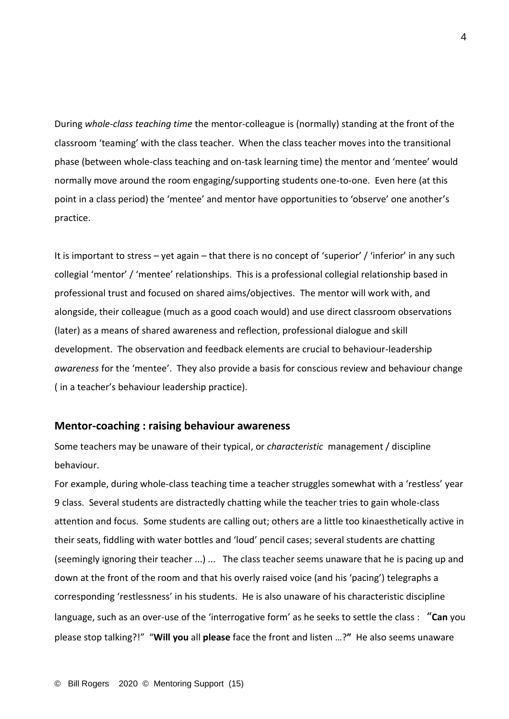During *whole-class teaching time* the mentor-colleague is (normally) standing at the front of the classroom 'teaming' with the class teacher. When the class teacher moves into the transitional phase (between whole-class teaching and on-task learning time) the mentor and 'mentee' would normally move around the room engaging/supporting students one-to-one. Even here (at this point in a class period) the 'mentee' and mentor have opportunities to 'observe' one another's practice.

It is important to stress – yet again – that there is no concept of 'superior' / 'inferior' in any such collegial 'mentor' / 'mentee' relationships. This is a professional collegial relationship based in professional trust and focused on shared aims/objectives. The mentor will work with, and alongside, their colleague (much as a good coach would) and use direct classroom observations (later) as a means of shared awareness and reflection, professional dialogue and skill development. The observation and feedback elements are crucial to behaviour-leadership *awareness* for the 'mentee'. They also provide a basis for conscious review and behaviour change ( in a teacher's behaviour leadership practice).

### **Mentor-coaching : raising behaviour awareness**

Some teachers may be unaware of their typical, or *characteristic* management / discipline behaviour.

For example, during whole-class teaching time a teacher struggles somewhat with a 'restless' year 9 class. Several students are distractedly chatting while the teacher tries to gain whole-class attention and focus. Some students are calling out; others are a little too kinaesthetically active in their seats, fiddling with water bottles and 'loud' pencil cases; several students are chatting (seemingly ignoring their teacher ...) ... The class teacher seems unaware that he is pacing up and down at the front of the room and that his overly raised voice (and his 'pacing') telegraphs a corresponding 'restlessness' in his students. He is also unaware of his characteristic discipline language, such as an over-use of the 'interrogative form' as he seeks to settle the class : "**Can** you please stop talking?!" "**Will you** all **please** face the front and listen …?**"** He also seems unaware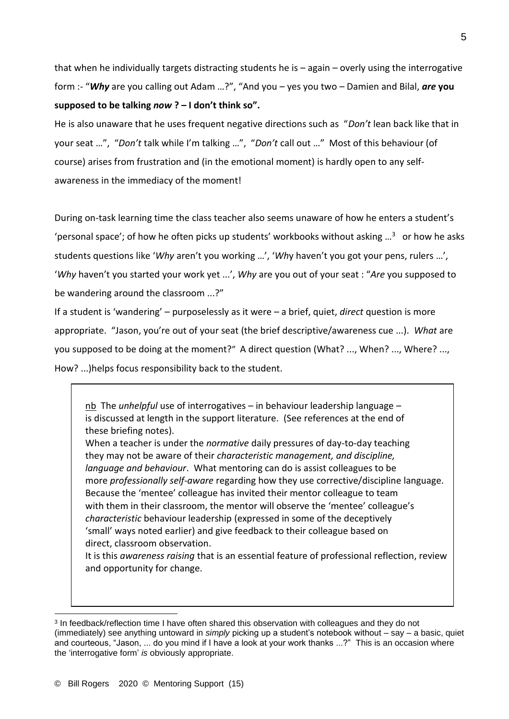that when he individually targets distracting students he is – again – overly using the interrogative form :- "*Why* are you calling out Adam …?", "And you – yes you two – Damien and Bilal, *are* **you supposed to be talking** *now* **? – I don't think so".** 

He is also unaware that he uses frequent negative directions such as "*Don't* lean back like that in your seat …", "*Don't* talk while I'm talking …", "*Don't* call out …" Most of this behaviour (of course) arises from frustration and (in the emotional moment) is hardly open to any selfawareness in the immediacy of the moment!

During on-task learning time the class teacher also seems unaware of how he enters a student's 'personal space'; of how he often picks up students' workbooks without asking ...<sup>3</sup> or how he asks students questions like '*Why* aren't you working …', '*Wh*y haven't you got your pens, rulers …', '*Why* haven't you started your work yet ...', *Why* are you out of your seat : "*Are* you supposed to be wandering around the classroom ...?"

If a student is 'wandering' – purposelessly as it were – a brief, quiet, *direct* question is more appropriate. "Jason, you're out of your seat (the brief descriptive/awareness cue ...). *What* are you supposed to be doing at the moment?" A direct question (What? ..., When? ..., Where? ..., How? ...)helps focus responsibility back to the student.

nb The *unhelpful* use of interrogatives – in behaviour leadership language – is discussed at length in the support literature. (See references at the end of these briefing notes).

When a teacher is under the *normative* daily pressures of day-to-day teaching they may not be aware of their *characteristic management, and discipline, language and behaviour*. What mentoring can do is assist colleagues to be more *professionally self-aware* regarding how they use corrective/discipline language. Because the 'mentee' colleague has invited their mentor colleague to team with them in their classroom, the mentor will observe the 'mentee' colleague's *characteristic* behaviour leadership (expressed in some of the deceptively 'small' ways noted earlier) and give feedback to their colleague based on direct, classroom observation.

It is this *awareness raising* that is an essential feature of professional reflection, review and opportunity for change.

<sup>&</sup>lt;sup>3</sup> In feedback/reflection time I have often shared this observation with colleagues and they do not (immediately) see anything untoward in *simply* picking up a student's notebook without – say – a basic, quiet and courteous, "Jason, ... do you mind if I have a look at your work thanks ...?" This is an occasion where the 'interrogative form' *is* obviously appropriate.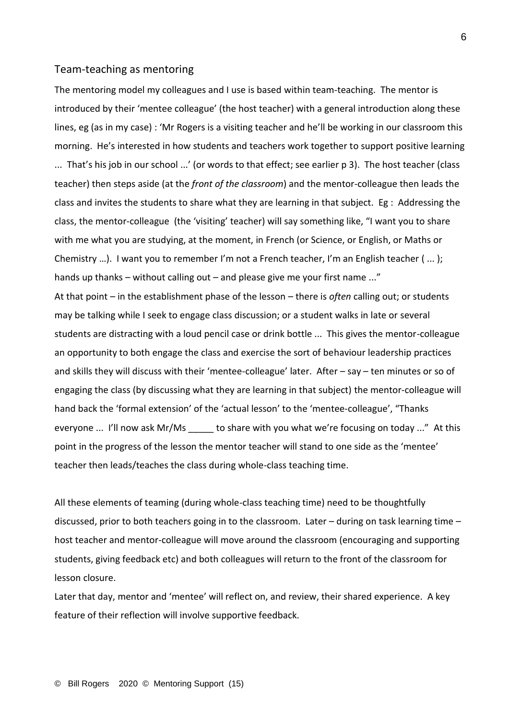#### Team-teaching as mentoring

The mentoring model my colleagues and I use is based within team-teaching. The mentor is introduced by their 'mentee colleague' (the host teacher) with a general introduction along these lines, eg (as in my case) : 'Mr Rogers is a visiting teacher and he'll be working in our classroom this morning. He's interested in how students and teachers work together to support positive learning ... That's his job in our school ...' (or words to that effect; see earlier p 3). The host teacher (class teacher) then steps aside (at the *front of the classroom*) and the mentor-colleague then leads the class and invites the students to share what they are learning in that subject. Eg : Addressing the class, the mentor-colleague (the 'visiting' teacher) will say something like, "I want you to share with me what you are studying, at the moment, in French (or Science, or English, or Maths or Chemistry …). I want you to remember I'm not a French teacher, I'm an English teacher ( ... ); hands up thanks – without calling out – and please give me your first name ..." At that point – in the establishment phase of the lesson – there is *often* calling out; or students may be talking while I seek to engage class discussion; or a student walks in late or several students are distracting with a loud pencil case or drink bottle ... This gives the mentor-colleague an opportunity to both engage the class and exercise the sort of behaviour leadership practices and skills they will discuss with their 'mentee-colleague' later. After – say – ten minutes or so of engaging the class (by discussing what they are learning in that subject) the mentor-colleague will hand back the 'formal extension' of the 'actual lesson' to the 'mentee-colleague', "Thanks everyone ... I'll now ask Mr/Ms to share with you what we're focusing on today ..." At this point in the progress of the lesson the mentor teacher will stand to one side as the 'mentee' teacher then leads/teaches the class during whole-class teaching time.

All these elements of teaming (during whole-class teaching time) need to be thoughtfully discussed, prior to both teachers going in to the classroom. Later – during on task learning time – host teacher and mentor-colleague will move around the classroom (encouraging and supporting students, giving feedback etc) and both colleagues will return to the front of the classroom for lesson closure.

Later that day, mentor and 'mentee' will reflect on, and review, their shared experience. A key feature of their reflection will involve supportive feedback.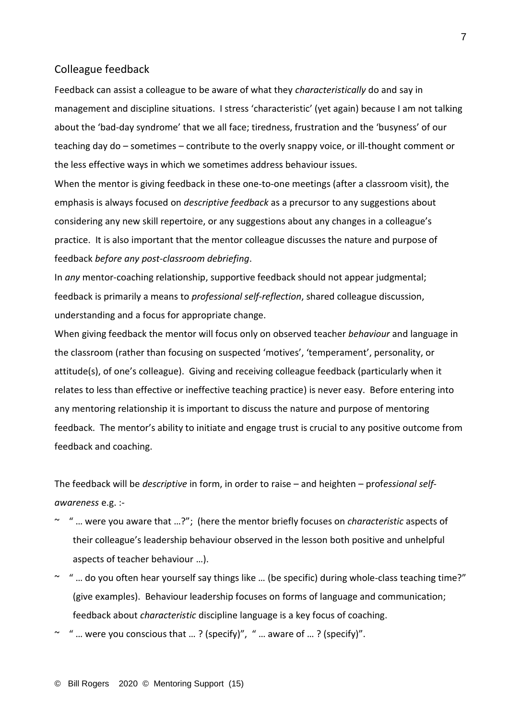#### Colleague feedback

Feedback can assist a colleague to be aware of what they *characteristically* do and say in management and discipline situations. I stress 'characteristic' (yet again) because I am not talking about the 'bad-day syndrome' that we all face; tiredness, frustration and the 'busyness' of our teaching day do – sometimes – contribute to the overly snappy voice, or ill-thought comment or the less effective ways in which we sometimes address behaviour issues.

When the mentor is giving feedback in these one-to-one meetings (after a classroom visit), the emphasis is always focused on *descriptive feedback* as a precursor to any suggestions about considering any new skill repertoire, or any suggestions about any changes in a colleague's practice. It is also important that the mentor colleague discusses the nature and purpose of feedback *before any post-classroom debriefing*.

In *any* mentor-coaching relationship, supportive feedback should not appear judgmental; feedback is primarily a means to *professional self-reflection*, shared colleague discussion, understanding and a focus for appropriate change.

When giving feedback the mentor will focus only on observed teacher *behaviour* and language in the classroom (rather than focusing on suspected 'motives', 'temperament', personality, or attitude(s), of one's colleague). Giving and receiving colleague feedback (particularly when it relates to less than effective or ineffective teaching practice) is never easy. Before entering into any mentoring relationship it is important to discuss the nature and purpose of mentoring feedback. The mentor's ability to initiate and engage trust is crucial to any positive outcome from feedback and coaching.

The feedback will be *descriptive* in form, in order to raise – and heighten – prof*essional selfawareness* e.g. :-

- ~ " … were you aware that …?"; (here the mentor briefly focuses on *characteristic* aspects of their colleague's leadership behaviour observed in the lesson both positive and unhelpful aspects of teacher behaviour …).
- ~ " … do you often hear yourself say things like … (be specific) during whole-class teaching time?" (give examples). Behaviour leadership focuses on forms of language and communication; feedback about *characteristic* discipline language is a key focus of coaching.
- $\sim$  "... were you conscious that ...? (specify)", "... aware of ...? (specify)".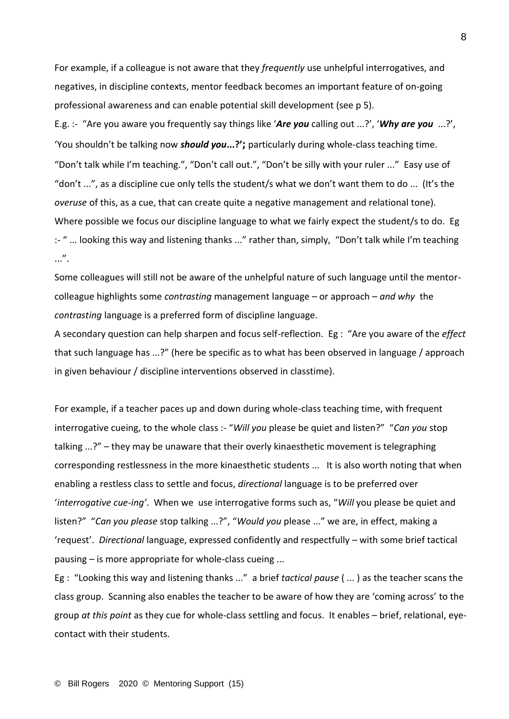For example, if a colleague is not aware that they *frequently* use unhelpful interrogatives, and negatives, in discipline contexts, mentor feedback becomes an important feature of on-going professional awareness and can enable potential skill development (see p 5).

E.g. :- "Are you aware you frequently say things like '*Are you* calling out ...?', '*Why are you* ...?', 'You shouldn't be talking now *should you***...?';** particularly during whole-class teaching time. "Don't talk while I'm teaching.", "Don't call out.", "Don't be silly with your ruler ..." Easy use of "don't ...", as a discipline cue only tells the student/s what we don't want them to do ... (It's the *overuse* of this, as a cue, that can create quite a negative management and relational tone). Where possible we focus our discipline language to what we fairly expect the student/s to do. Eg :- " ... looking this way and listening thanks ..." rather than, simply, "Don't talk while I'm teaching ...".

Some colleagues will still not be aware of the unhelpful nature of such language until the mentorcolleague highlights some *contrasting* management language – or approach – *and why* the *contrasting* language is a preferred form of discipline language.

A secondary question can help sharpen and focus self-reflection. Eg : "Are you aware of the *effect* that such language has ...?" (here be specific as to what has been observed in language / approach in given behaviour / discipline interventions observed in classtime).

For example, if a teacher paces up and down during whole-class teaching time, with frequent interrogative cueing, to the whole class :- "*Will you* please be quiet and listen?" "*Can you* stop talking ...?" – they may be unaware that their overly kinaesthetic movement is telegraphing corresponding restlessness in the more kinaesthetic students ... It is also worth noting that when enabling a restless class to settle and focus, *directional* language is to be preferred over '*interrogative cue-ing'*. When we use interrogative forms such as, "*Will* you please be quiet and listen?" "*Can you please* stop talking ...?", "*Would you* please ..." we are, in effect, making a 'request'. *Directional* language, expressed confidently and respectfully – with some brief tactical pausing – is more appropriate for whole-class cueing ...

Eg : "Looking this way and listening thanks ..." a brief *tactical pause* ( ... ) as the teacher scans the class group. Scanning also enables the teacher to be aware of how they are 'coming across' to the group *at this point* as they cue for whole-class settling and focus. It enables – brief, relational, eyecontact with their students.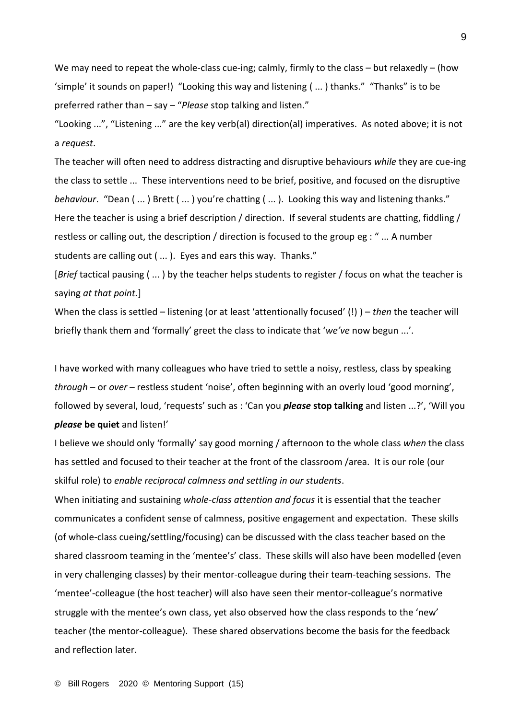We may need to repeat the whole-class cue-ing; calmly, firmly to the class – but relaxedly – (how 'simple' it sounds on paper!) "Looking this way and listening ( ... ) thanks." "Thanks" is to be preferred rather than – say – "*Please* stop talking and listen."

"Looking ...", "Listening ..." are the key verb(al) direction(al) imperatives. As noted above; it is not a *request*.

The teacher will often need to address distracting and disruptive behaviours *while* they are cue-ing the class to settle ... These interventions need to be brief, positive, and focused on the disruptive *behaviour*. "Dean ( ... ) Brett ( ... ) you're chatting ( ... ). Looking this way and listening thanks." Here the teacher is using a brief description / direction. If several students are chatting, fiddling / restless or calling out, the description / direction is focused to the group eg : " ... A number students are calling out ( ... ). Eyes and ears this way. Thanks."

[*Brief* tactical pausing ( ... ) by the teacher helps students to register / focus on what the teacher is saying *at that point.*]

When the class is settled – listening (or at least 'attentionally focused' (!) ) – *then* the teacher will briefly thank them and 'formally' greet the class to indicate that '*we've* now begun ...'.

I have worked with many colleagues who have tried to settle a noisy, restless, class by speaking *through* – or *over –* restless student 'noise', often beginning with an overly loud 'good morning', followed by several, loud, 'requests' such as : 'Can you *please* **stop talking** and listen ...?', 'Will you *please* **be quiet** and listen!'

I believe we should only 'formally' say good morning / afternoon to the whole class *when* the class has settled and focused to their teacher at the front of the classroom /area. It is our role (our skilful role) to *enable reciprocal calmness and settling in our students*.

When initiating and sustaining *whole-class attention and focus* it is essential that the teacher communicates a confident sense of calmness, positive engagement and expectation. These skills (of whole-class cueing/settling/focusing) can be discussed with the class teacher based on the shared classroom teaming in the 'mentee's' class. These skills will also have been modelled (even in very challenging classes) by their mentor-colleague during their team-teaching sessions. The 'mentee'-colleague (the host teacher) will also have seen their mentor-colleague's normative struggle with the mentee's own class, yet also observed how the class responds to the 'new' teacher (the mentor-colleague). These shared observations become the basis for the feedback and reflection later.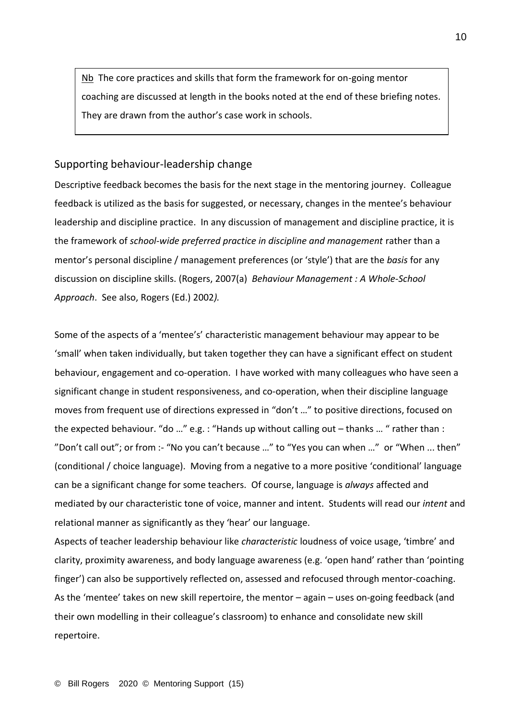Nb The core practices and skills that form the framework for on-going mentor coaching are discussed at length in the books noted at the end of these briefing notes. They are drawn from the author's case work in schools.

## Supporting behaviour-leadership change

Descriptive feedback becomes the basis for the next stage in the mentoring journey. Colleague feedback is utilized as the basis for suggested, or necessary, changes in the mentee's behaviour leadership and discipline practice. In any discussion of management and discipline practice, it is the framework of *school-wide preferred practice in discipline and management* rather than a mentor's personal discipline / management preferences (or 'style') that are the *basis* for any discussion on discipline skills. (Rogers, 2007(a) *Behaviour Management : A Whole-School Approach*. See also, Rogers (Ed.) 2002*).*

Some of the aspects of a 'mentee's' characteristic management behaviour may appear to be 'small' when taken individually, but taken together they can have a significant effect on student behaviour, engagement and co-operation. I have worked with many colleagues who have seen a significant change in student responsiveness, and co-operation, when their discipline language moves from frequent use of directions expressed in "don't …" to positive directions, focused on the expected behaviour. "do …" e.g. : "Hands up without calling out – thanks … " rather than : "Don't call out"; or from :- "No you can't because …" to "Yes you can when …" or "When ... then" (conditional / choice language). Moving from a negative to a more positive 'conditional' language can be a significant change for some teachers. Of course, language is *always* affected and mediated by our characteristic tone of voice, manner and intent. Students will read our *intent* and relational manner as significantly as they 'hear' our language.

Aspects of teacher leadership behaviour like *characteristic* loudness of voice usage, 'timbre' and clarity, proximity awareness, and body language awareness (e.g. 'open hand' rather than 'pointing finger') can also be supportively reflected on, assessed and refocused through mentor-coaching. As the 'mentee' takes on new skill repertoire, the mentor – again – uses on-going feedback (and their own modelling in their colleague's classroom) to enhance and consolidate new skill repertoire.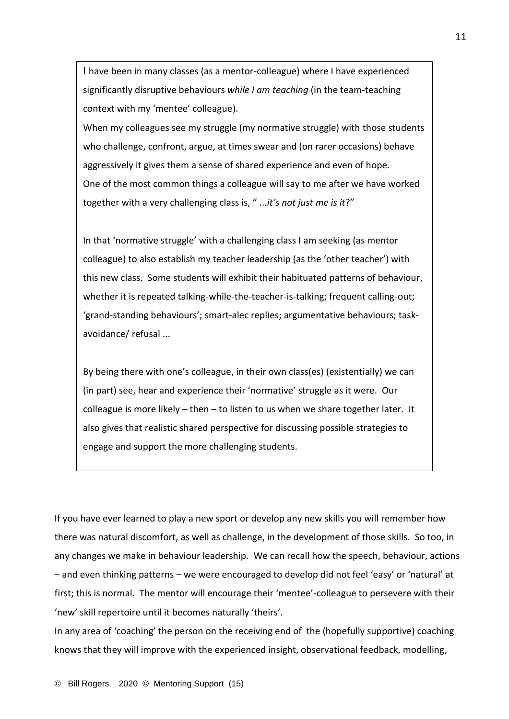I have been in many classes (as a mentor-colleague) where I have experienced significantly disruptive behaviours *while I am teaching* (in the team-teaching context with my 'mentee' colleague).

When my colleagues see my struggle (my normative struggle) with those students who challenge, confront, argue, at times swear and (on rarer occasions) behave aggressively it gives them a sense of shared experience and even of hope. One of the most common things a colleague will say to me after we have worked together with a very challenging class is, " ...*it's not just me is it*?"

In that 'normative struggle' with a challenging class I am seeking (as mentor colleague) to also establish my teacher leadership (as the 'other teacher') with this new class. Some students will exhibit their habituated patterns of behaviour, whether it is repeated talking-while-the-teacher-is-talking; frequent calling-out; 'grand-standing behaviours'; smart-alec replies; argumentative behaviours; taskavoidance/ refusal ...

By being there with one's colleague, in their own class(es) (existentially) we can (in part) see, hear and experience their 'normative' struggle as it were. Our colleague is more likely – then – to listen to us when we share together later. It also gives that realistic shared perspective for discussing possible strategies to engage and support the more challenging students.

If you have ever learned to play a new sport or develop any new skills you will remember how there was natural discomfort, as well as challenge, in the development of those skills. So too, in any changes we make in behaviour leadership. We can recall how the speech, behaviour, actions – and even thinking patterns – we were encouraged to develop did not feel 'easy' or 'natural' at first; this is normal. The mentor will encourage their 'mentee'-colleague to persevere with their 'new' skill repertoire until it becomes naturally 'theirs'.

In any area of 'coaching' the person on the receiving end of the (hopefully supportive) coaching knows that they will improve with the experienced insight, observational feedback, modelling,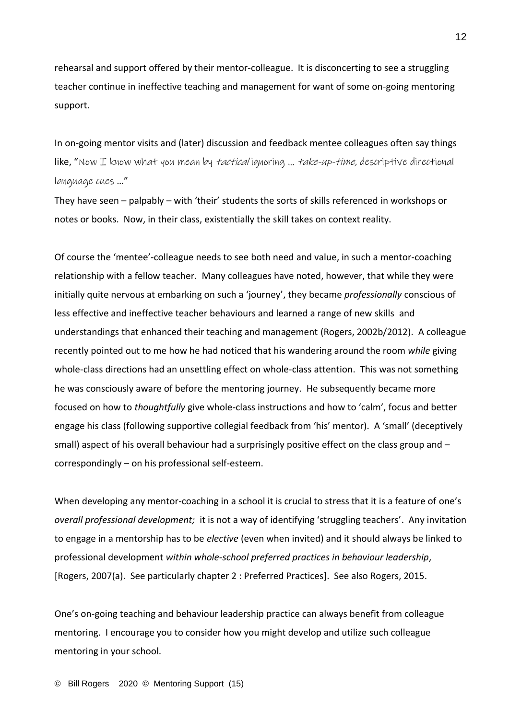rehearsal and support offered by their mentor-colleague. It is disconcerting to see a struggling teacher continue in ineffective teaching and management for want of some on-going mentoring support.

In on-going mentor visits and (later) discussion and feedback mentee colleagues often say things like, "Now I know what you mean by *tactical* ignoring ... *take-up-time, descriptive directional* language cues …"

They have seen – palpably – with 'their' students the sorts of skills referenced in workshops or notes or books. Now, in their class, existentially the skill takes on context reality.

Of course the 'mentee'-colleague needs to see both need and value, in such a mentor-coaching relationship with a fellow teacher. Many colleagues have noted, however, that while they were initially quite nervous at embarking on such a 'journey', they became *professionally* conscious of less effective and ineffective teacher behaviours and learned a range of new skills and understandings that enhanced their teaching and management (Rogers, 2002b/2012). A colleague recently pointed out to me how he had noticed that his wandering around the room *while* giving whole-class directions had an unsettling effect on whole-class attention. This was not something he was consciously aware of before the mentoring journey. He subsequently became more focused on how to *thoughtfully* give whole-class instructions and how to 'calm', focus and better engage his class (following supportive collegial feedback from 'his' mentor). A 'small' (deceptively small) aspect of his overall behaviour had a surprisingly positive effect on the class group and correspondingly – on his professional self-esteem.

When developing any mentor-coaching in a school it is crucial to stress that it is a feature of one's *overall professional development;* it is not a way of identifying 'struggling teachers'. Any invitation to engage in a mentorship has to be *elective* (even when invited) and it should always be linked to professional development *within whole-school preferred practices in behaviour leadership*, [Rogers, 2007(a). See particularly chapter 2 : Preferred Practices]. See also Rogers, 2015.

One's on-going teaching and behaviour leadership practice can always benefit from colleague mentoring. I encourage you to consider how you might develop and utilize such colleague mentoring in your school.